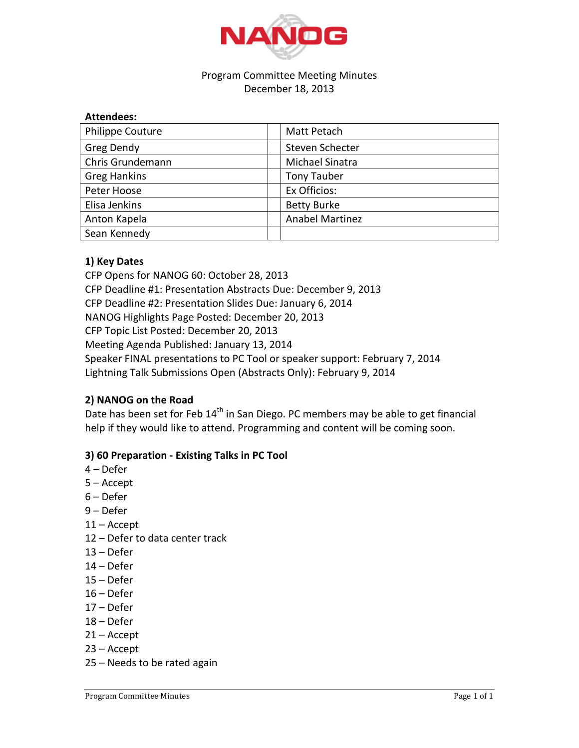

## Program Committee Meeting Minutes December 18, 2013

| <b>Philippe Couture</b> | Matt Petach            |
|-------------------------|------------------------|
| Greg Dendy              | Steven Schecter        |
| Chris Grundemann        | Michael Sinatra        |
| <b>Greg Hankins</b>     | <b>Tony Tauber</b>     |
| Peter Hoose             | Ex Officios:           |
| Elisa Jenkins           | <b>Betty Burke</b>     |
| Anton Kapela            | <b>Anabel Martinez</b> |
| Sean Kennedy            |                        |

## **1) Key Dates**

CFP Opens for NANOG 60: October 28, 2013 CFP Deadline #1: Presentation Abstracts Due: December 9, 2013 CFP Deadline #2: Presentation Slides Due: January 6, 2014 NANOG Highlights Page Posted: December 20, 2013 CFP Topic List Posted: December 20, 2013 Meeting Agenda Published: January 13, 2014 Speaker FINAL presentations to PC Tool or speaker support: February 7, 2014 Lightning Talk Submissions Open (Abstracts Only): February 9, 2014

## **2) NANOG on the Road**

Date has been set for Feb 14<sup>th</sup> in San Diego. PC members may be able to get financial help if they would like to attend. Programming and content will be coming soon.

## **3) 60 Preparation - Existing Talks in PC Tool**

- $4 Defer$
- $5 -$ Accept
- $6$  Defer
- 9'– Defer
- $11 -$  Accept
- 12 Defer to data center track
- $13 Defer$
- $14 Defer$
- $15 Defer$
- $16 Defer$
- $17 Defer$
- $18 Defer$
- $21 -$ Accept
- $23 -$ Accept
- 25 Needs to be rated again